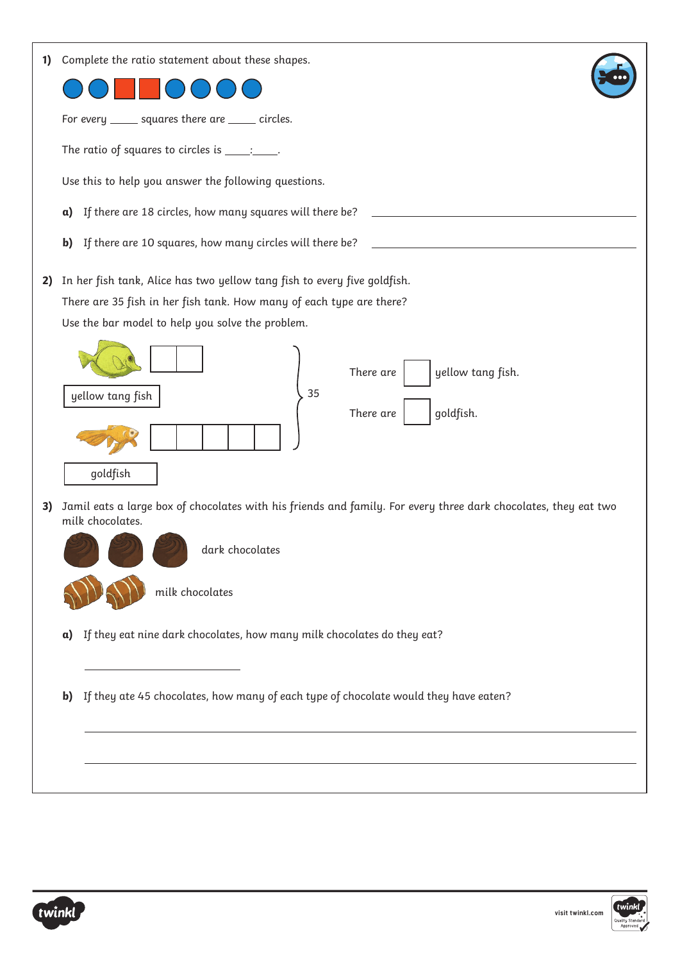| 1) |    | Complete the ratio statement about these shapes.                                                                                                                                                     |
|----|----|------------------------------------------------------------------------------------------------------------------------------------------------------------------------------------------------------|
|    |    | For every ______ squares there are _____ circles.                                                                                                                                                    |
|    |    | The ratio of squares to circles is $\_\_\_\_\_\$                                                                                                                                                     |
|    |    | Use this to help you answer the following questions.                                                                                                                                                 |
|    | a) | If there are 18 circles, how many squares will there be?                                                                                                                                             |
|    | b) | If there are 10 squares, how many circles will there be?                                                                                                                                             |
| 2) |    | In her fish tank, Alice has two yellow tang fish to every five goldfish.<br>There are 35 fish in her fish tank. How many of each type are there?<br>Use the bar model to help you solve the problem. |
|    |    | yellow tang fish.<br>There are<br>35<br>yellow tang fish<br>goldfish.<br>There are<br>goldfish                                                                                                       |
| 3) |    | Jamil eats a large box of chocolates with his friends and family. For every three dark chocolates, they eat two<br>milk chocolates.<br>dark chocolates<br>milk chocolates                            |
|    | a) | If they eat nine dark chocolates, how many milk chocolates do they eat?                                                                                                                              |
|    | b) | If they ate 45 chocolates, how many of each type of chocolate would they have eaten?                                                                                                                 |
|    |    |                                                                                                                                                                                                      |

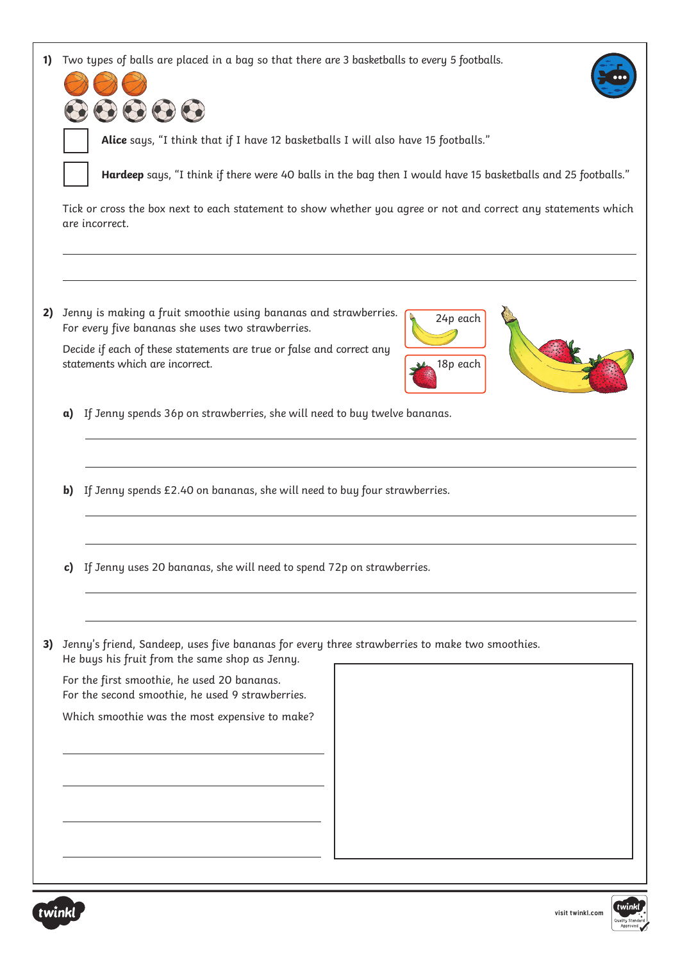| 1) | Two types of balls are placed in a bag so that there are 3 basketballs to every 5 footballs.<br>000<br>Alice says, "I think that if I have 12 basketballs I will also have 15 footballs."<br>Hardeep says, "I think if there were 40 balls in the bag then I would have 15 basketballs and 25 footballs."<br>Tick or cross the box next to each statement to show whether you agree or not and correct any statements which<br>are incorrect. |  |  |  |  |
|----|-----------------------------------------------------------------------------------------------------------------------------------------------------------------------------------------------------------------------------------------------------------------------------------------------------------------------------------------------------------------------------------------------------------------------------------------------|--|--|--|--|
|    |                                                                                                                                                                                                                                                                                                                                                                                                                                               |  |  |  |  |
|    |                                                                                                                                                                                                                                                                                                                                                                                                                                               |  |  |  |  |
|    |                                                                                                                                                                                                                                                                                                                                                                                                                                               |  |  |  |  |
| 2) | Jenny is making a fruit smoothie using bananas and strawberries.<br>24p each<br>For every five bananas she uses two strawberries.<br>Decide if each of these statements are true or false and correct any<br>statements which are incorrect.<br>18p each                                                                                                                                                                                      |  |  |  |  |
|    | If Jenny spends 36p on strawberries, she will need to buy twelve bananas.<br>a)                                                                                                                                                                                                                                                                                                                                                               |  |  |  |  |
|    | If Jenny spends £2.40 on bananas, she will need to buy four strawberries.<br>b)                                                                                                                                                                                                                                                                                                                                                               |  |  |  |  |
|    | c) If Jenny uses 20 bananas, she will need to spend 72p on strawberries.                                                                                                                                                                                                                                                                                                                                                                      |  |  |  |  |
| 3) | Jenny's friend, Sandeep, uses five bananas for every three strawberries to make two smoothies.<br>He buys his fruit from the same shop as Jenny.                                                                                                                                                                                                                                                                                              |  |  |  |  |
|    | For the first smoothie, he used 20 bananas.<br>For the second smoothie, he used 9 strawberries.                                                                                                                                                                                                                                                                                                                                               |  |  |  |  |
|    | Which smoothie was the most expensive to make?                                                                                                                                                                                                                                                                                                                                                                                                |  |  |  |  |
|    |                                                                                                                                                                                                                                                                                                                                                                                                                                               |  |  |  |  |